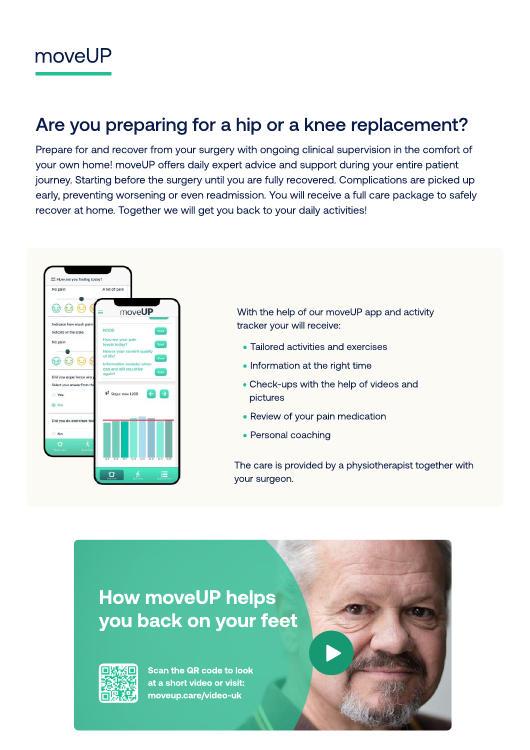# Are you preparing for a hip or a knee replacement?

Prepare for and recover from your surgery with ongoing clinical supervision in the comfort of your own home! moveUP offers daily expert advice and support during your entire patient journey. Starting before the surgery until you are fully recovered. Complications are picked up early, preventing worsening or even readmission. You will receive a full care package to safely recover at home. Together we will get you back to your daily activities!



With the help of our moveUP app and activity tracker your will receive:

- Tailored activities and exercises
- Information at the right time
- Check-ups with the help of videos and pictures
- Review of your pain medication
- Personal coaching

The care is provided by a physiotherapist together with your surgeon.

# How moveUP helps you back on your feet



Scan the QR code to look at a short video or visit: moveup.care/video-uk